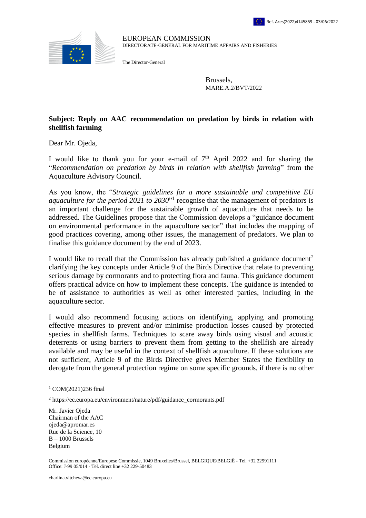

EUROPEAN COMMISSION DIRECTORATE-GENERAL FOR MARITIME AFFAIRS AND FISHERIES

The Director-General

Brussels, MARE.A.2/BVT/2022

## **Subject: Reply on AAC recommendation on predation by birds in relation with shellfish farming**

Dear Mr. Ojeda,

I would like to thank you for your e-mail of  $7<sup>th</sup>$  April 2022 and for sharing the "*Recommendation on predation by birds in relation with shellfish farming*" from the Aquaculture Advisory Council*.*

As you know, the "*Strategic guidelines for a more sustainable and competitive EU*  aquaculture for the period 2021 to 2030<sup>\*</sup> recognise that the management of predators is an important challenge for the sustainable growth of aquaculture that needs to be addressed. The Guidelines propose that the Commission develops a "guidance document on environmental performance in the aquaculture sector" that includes the mapping of good practices covering, among other issues, the management of predators. We plan to finalise this guidance document by the end of 2023.

I would like to recall that the Commission has already published a guidance document<sup>2</sup> clarifying the key concepts under Article 9 of the Birds Directive that relate to preventing serious damage by cormorants and to protecting flora and fauna. This guidance document offers practical advice on how to implement these concepts. The guidance is intended to be of assistance to authorities as well as other interested parties, including in the aquaculture sector.

I would also recommend focusing actions on identifying, applying and promoting effective measures to prevent and/or minimise production losses caused by protected species in shellfish farms. Techniques to scare away birds using visual and acoustic deterrents or using barriers to prevent them from getting to the shellfish are already available and may be useful in the context of shellfish aquaculture. If these solutions are not sufficient, Article 9 of the Birds Directive gives Member States the flexibility to derogate from the general protection regime on some specific grounds, if there is no other

 $\overline{a}$ 

Mr. Javier Ojeda Chairman of the AAC ojeda@apromar.es Rue de la Science, 10 B – 1000 Brussels Belgium

Commission européenne/Europese Commissie, 1049 Bruxelles/Brussel, BELGIQUE/BELGIË - Tel. +32 22991111 Office: J-99 05/014 ‐ Tel. direct line +32 229-50483

<sup>1</sup> COM(2021)236 final

<sup>2</sup> https://ec.europa.eu/environment/nature/pdf/guidance\_cormorants.pdf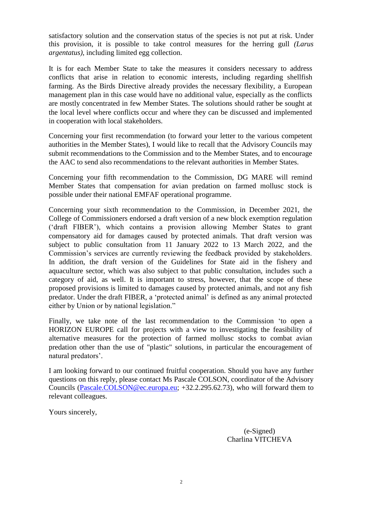satisfactory solution and the conservation status of the species is not put at risk. Under this provision, it is possible to take control measures for the herring gull *(Larus argentatus)*, including limited egg collection.

It is for each Member State to take the measures it considers necessary to address conflicts that arise in relation to economic interests, including regarding shellfish farming. As the Birds Directive already provides the necessary flexibility, a European management plan in this case would have no additional value, especially as the conflicts are mostly concentrated in few Member States. The solutions should rather be sought at the local level where conflicts occur and where they can be discussed and implemented in cooperation with local stakeholders.

Concerning your first recommendation (to forward your letter to the various competent authorities in the Member States), I would like to recall that the Advisory Councils may submit recommendations to the Commission and to the Member States, and to encourage the AAC to send also recommendations to the relevant authorities in Member States.

Concerning your fifth recommendation to the Commission, DG MARE will remind Member States that compensation for avian predation on farmed mollusc stock is possible under their national EMFAF operational programme.

Concerning your sixth recommendation to the Commission, in December 2021, the College of Commissioners endorsed a draft version of a new block exemption regulation ('draft FIBER'), which contains a provision allowing Member States to grant compensatory aid for damages caused by protected animals. That draft version was subject to public consultation from 11 January 2022 to 13 March 2022, and the Commission's services are currently reviewing the feedback provided by stakeholders. In addition, the draft version of the Guidelines for State aid in the fishery and aquaculture sector, which was also subject to that public consultation, includes such a category of aid, as well. It is important to stress, however, that the scope of these proposed provisions is limited to damages caused by protected animals, and not any fish predator. Under the draft FIBER, a 'protected animal' is defined as any animal protected either by Union or by national legislation."

Finally, we take note of the last recommendation to the Commission 'to open a HORIZON EUROPE call for projects with a view to investigating the feasibility of alternative measures for the protection of farmed mollusc stocks to combat avian predation other than the use of "plastic" solutions, in particular the encouragement of natural predators'.

I am looking forward to our continued fruitful cooperation. Should you have any further questions on this reply, please contact Ms Pascale COLSON, coordinator of the Advisory Councils [\(Pascale.COLSON@ec.europa.eu;](mailto:Pascale.COLSON@ec.europa.eu) +32.2.295.62.73), who will forward them to relevant colleagues.

Yours sincerely,

(e-Signed) Charlina VITCHEVA